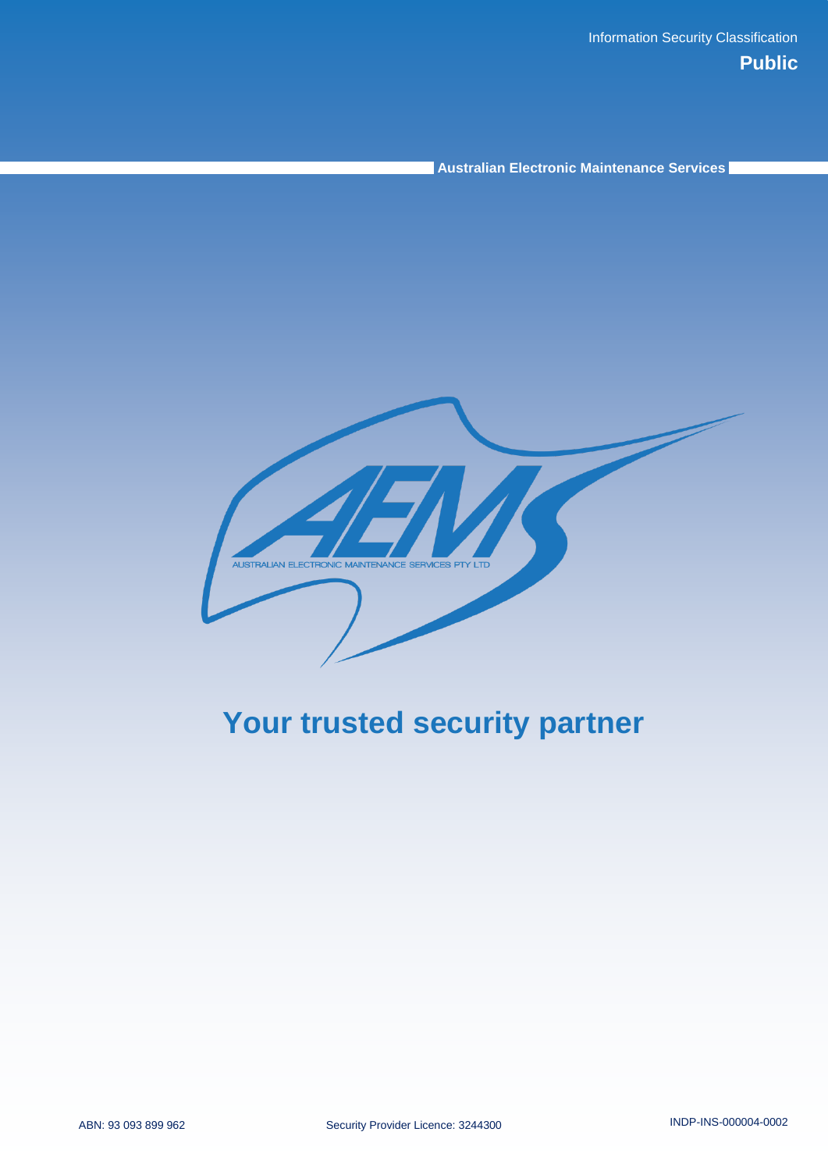**Australian Electronic Maintenance Services**

AUSTRALIAN ELECTRONIC MAINTENANCE SERVICES PTY LTD

# **Your trusted security partner**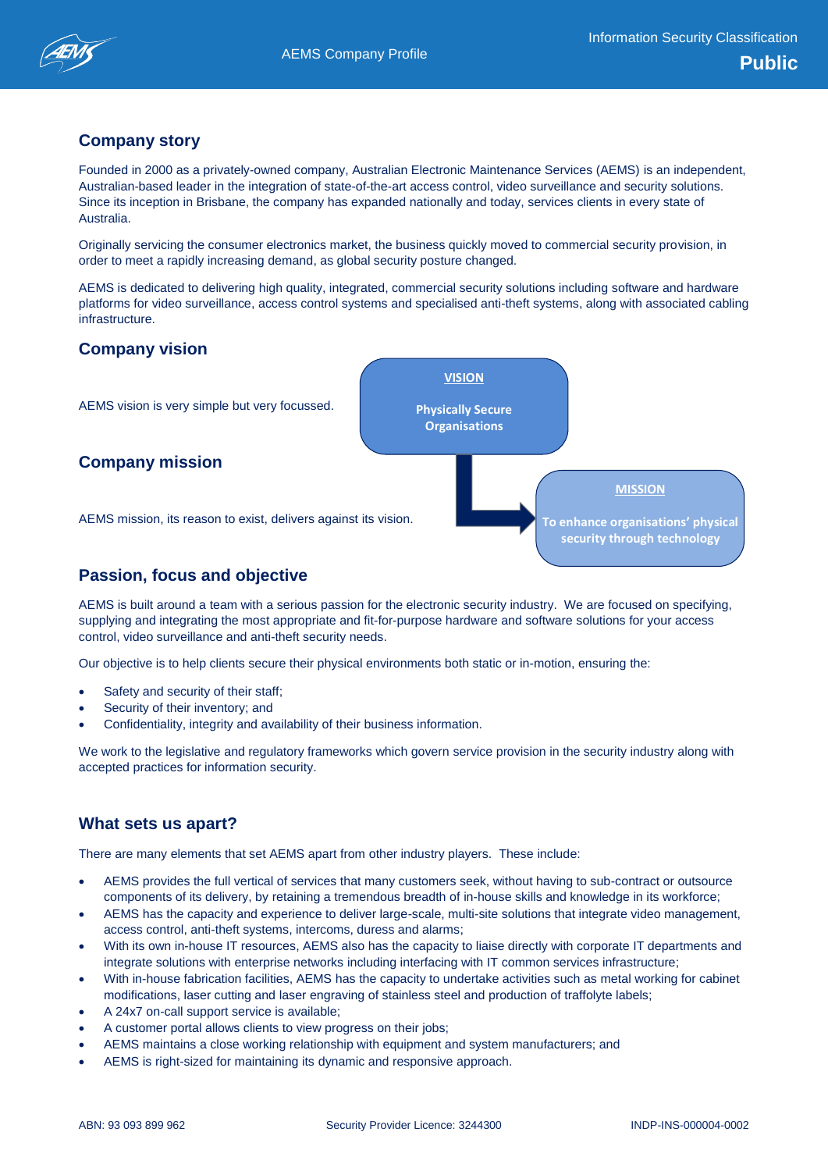**MISSION**

**To enhance organisations physical security through technology**

# **Company story**

Founded in 2000 as a privately-owned company, Australian Electronic Maintenance Services (AEMS) is an independent, Australian-based leader in the integration of state-of-the-art access control, video surveillance and security solutions. Since its inception in Brisbane, the company has expanded nationally and today, services clients in every state of Australia.

Originally servicing the consumer electronics market, the business quickly moved to commercial security provision, in order to meet a rapidly increasing demand, as global security posture changed.

AEMS is dedicated to delivering high quality, integrated, commercial security solutions including software and hardware platforms for video surveillance, access control systems and specialised anti-theft systems, along with associated cabling infrastructure.

**VISION**

**Physically Secure Organisations**

### **Company vision**

AEMS vision is very simple but very focussed.

### **Company mission**

AEMS mission, its reason to exist, delivers against its vision.

# **Passion, focus and objective**

AEMS is built around a team with a serious passion for the electronic security industry. We are focused on specifying, supplying and integrating the most appropriate and fit-for-purpose hardware and software solutions for your access control, video surveillance and anti-theft security needs.

Our objective is to help clients secure their physical environments both static or in-motion, ensuring the:

- Safety and security of their staff;
- Security of their inventory; and
- Confidentiality, integrity and availability of their business information.

We work to the legislative and regulatory frameworks which govern service provision in the security industry along with accepted practices for information security.

### **What sets us apart?**

There are many elements that set AEMS apart from other industry players. These include:

- AEMS provides the full vertical of services that many customers seek, without having to sub-contract or outsource components of its delivery, by retaining a tremendous breadth of in-house skills and knowledge in its workforce;
- AEMS has the capacity and experience to deliver large-scale, multi-site solutions that integrate video management, access control, anti-theft systems, intercoms, duress and alarms;
- With its own in-house IT resources, AEMS also has the capacity to liaise directly with corporate IT departments and integrate solutions with enterprise networks including interfacing with IT common services infrastructure;
- With in-house fabrication facilities, AEMS has the capacity to undertake activities such as metal working for cabinet modifications, laser cutting and laser engraving of stainless steel and production of traffolyte labels;
- A 24x7 on-call support service is available;
- A customer portal allows clients to view progress on their jobs;
- AEMS maintains a close working relationship with equipment and system manufacturers; and
- AEMS is right-sized for maintaining its dynamic and responsive approach.